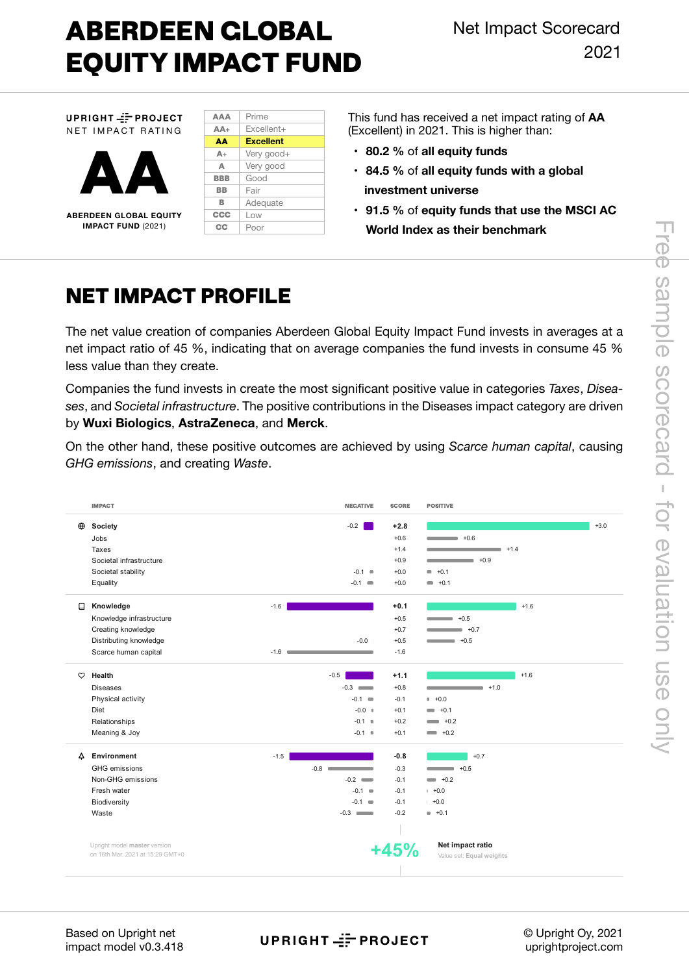# **ABERDEEN GLOBAL EQUITY IMPACT FUND**

UPRIGHT == PROJECT NET IMPACT RATING



**ABERDEEN GLOBAL EQUITY IMPACT FUND** (2021)

| <b>AAA</b> | Prime            |
|------------|------------------|
| $AA+$      | Excellent+       |
| AA         | <b>Excellent</b> |
| $A+$       | Very good+       |
| Δ          | Very good        |
| <b>BBB</b> | Good             |
| ВB         | Fair             |
| в          | Adequate         |
| <b>CCC</b> | Low              |
| cc         | Poor             |

This fund has received a net impact rating of **AA**  (Excellent) in 2021. This is higher than:

- **80.2 %** of **all equity funds**
- **• 84.5 %** of **all equity funds with a global investment universe**
- **• 91.5 %** of **equity funds that use the MSCI AC World Index as their benchmark**

## **NET IMPACT PROFILE**

The net value creation of companies Aberdeen Global Equity Impact Fund invests in averages at a net impact ratio of 45 %, indicating that on average companies the fund invests in consume 45 % less value than they create.

Companies the fund invests in create the most significant positive value in categories *Taxes*, *Diseases*, and *Societal infrastructure*. The positive contributions in the Diseases impact category are driven by **Wuxi Biologics**, **AstraZeneca**, and **Merck**.

On the other hand, these positive outcomes are achieved by using *Scarce human capital*, causing *GHG emissions*, and creating *Waste*.

|          | <b>IMPACT</b>                                                    | <b>NEGATIVE</b>       | <b>SCORE</b> | <b>POSITIVE</b>                              |        |
|----------|------------------------------------------------------------------|-----------------------|--------------|----------------------------------------------|--------|
| $\oplus$ | Society                                                          | $-0.2$                | $+2.8$       |                                              | $+3.0$ |
|          | Jobs                                                             |                       | $+0.6$       | $+0.6$                                       |        |
|          | Taxes                                                            |                       | $+1.4$       | $+1.4$                                       |        |
|          | Societal infrastructure                                          |                       | $+0.9$       | $+0.9$<br><b>Contract Contract</b>           |        |
|          | Societal stability                                               | $-0.1$ $\blacksquare$ | $+0.0$       | $+0.1$<br>$\blacksquare$                     |        |
|          | Equality                                                         | $-0.1 =$              | $+0.0$       | $+0.1$<br>$\blacksquare$                     |        |
| ⊟        | Knowledge                                                        | $-1.6$                | $+0.1$       | $+1.6$                                       |        |
|          | Knowledge infrastructure                                         |                       | $+0.5$       | $+0.5$                                       |        |
|          | Creating knowledge                                               |                       | $+0.7$       | $+0.7$                                       |        |
|          | Distributing knowledge                                           | $-0.0$                | $+0.5$       | $+0.5$                                       |        |
|          | Scarce human capital                                             | $-1.6$ $-$            | $-1.6$       |                                              |        |
| $\circ$  | Health                                                           | $-0.5$                | $+1.1$       | $+1.6$                                       |        |
|          | <b>Diseases</b>                                                  | $-0.3$                | $+0.8$       | $+1.0$                                       |        |
|          | Physical activity                                                | $-0.1 =$              | $-0.1$       | $+0.0$                                       |        |
|          | Diet                                                             | $-0.0$ $*$            | $+0.1$       | $+0.1$<br>$\sim$                             |        |
|          | Relationships                                                    | $-0.1$ $\bullet$      | $+0.2$       | $\longrightarrow$ +0.2                       |        |
|          | Meaning & Joy                                                    | $-0.1$ $\bullet$      | $+0.1$       | $\longrightarrow$ +0.2                       |        |
| Δ        | Environment                                                      | $-1.5$                | $-0.8$       | $+0.7$                                       |        |
|          | GHG emissions                                                    | $-0.8$ $-$            | $-0.3$       | $-$ +0.5                                     |        |
|          | Non-GHG emissions                                                | $-0.2$                | $-0.1$       | $\longrightarrow$ +0.2                       |        |
|          | Fresh water                                                      | $-0.1 =$              | $-0.1$       | $+0.0$                                       |        |
|          | Biodiversity                                                     | $-0.1 =$              | $-0.1$       | $+0.0$                                       |        |
|          | Waste                                                            | $-0.3$                | $-0.2$       | $+0.1$                                       |        |
|          |                                                                  |                       |              |                                              |        |
|          | Upright model master version<br>on 16th Mar. 2021 at 15:29 GMT+0 |                       | $+45%$       | Net impact ratio<br>Value set: Equal weights |        |
|          |                                                                  |                       |              |                                              |        |

UPRIGHT == PROJECT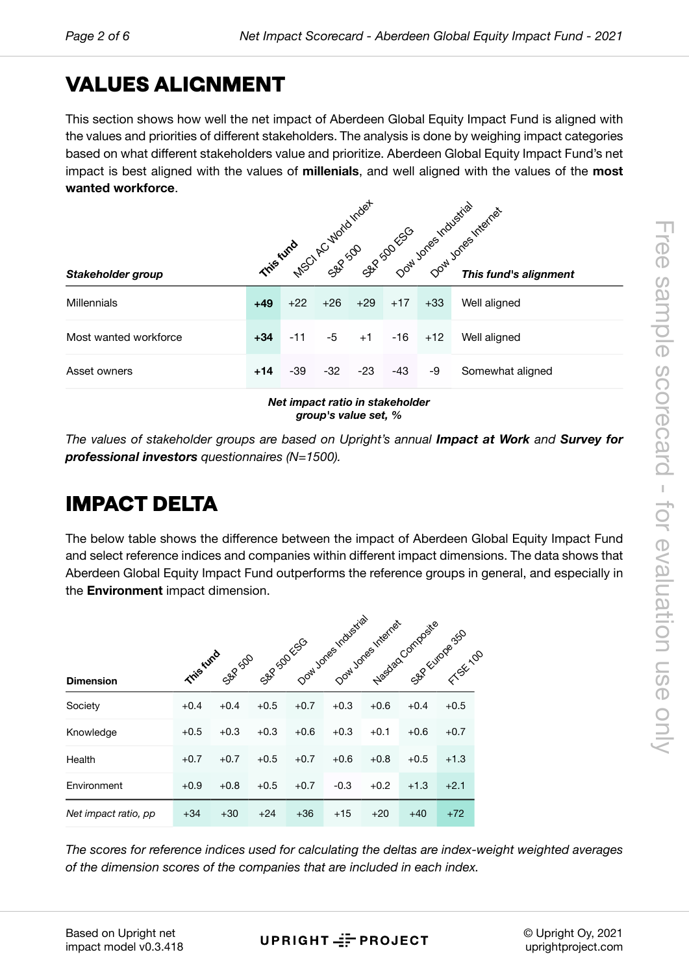# Free sample scorecard - for evaluation use only sample scorecard - tor evaluation use only

# **VALU[E](#page-5-0)S ALIGNMENT**

This section shows how well the net impact of Aberdeen Global Equity Impact Fund is aligned with the values and priorities of different stakeholders. The analysis is done by weighing impact categories based on what different stakeholders value and prioritize. Aberdeen Global Equity Impact Fund's net impact is best aligned with the values of **millenials**, and well aligned with the values of the **most wanted workforce**.

|                                 | This further case of the control of the internet |       |       |       |       |       |                       |  |  |  |
|---------------------------------|--------------------------------------------------|-------|-------|-------|-------|-------|-----------------------|--|--|--|
| Stakeholder group               |                                                  |       |       |       |       |       | This fund's alignment |  |  |  |
| <b>Millennials</b>              | $+49$                                            | $+22$ | $+26$ | $+29$ | $+17$ | $+33$ | Well aligned          |  |  |  |
| Most wanted workforce           | $+34$                                            | -11   | -5    | $+1$  | $-16$ | $+12$ | Well aligned          |  |  |  |
| Asset owners                    | $+14$                                            | -39   | $-32$ | $-23$ | -43   | -9    | Somewhat aligned      |  |  |  |
| Net impact ratio in stakeholder |                                                  |       |       |       |       |       |                       |  |  |  |

*group's value set, %*

*The values of stakeholder groups are based on Upright's annual <i>Impact at Work and Survey for professional investors questionnaires (N=1500).*

# **IMPACT DELTA**

The below table shows the difference between the impact of Aberdeen Global Equity Impact Fund and select reference indices and companies within different impact dimensions. The data shows that Aberdeen Global Equity Impact Fund outperforms the reference groups in general, and especially in the **Environment** impact dimension.

|                      |           |         |            | Dowl Jones Industrial |        | Dow Jones Internet | Nasdaq Composite | Sep Furove 350 |
|----------------------|-----------|---------|------------|-----------------------|--------|--------------------|------------------|----------------|
| <b>Dimension</b>     | This fund | SBP 500 | SAP SOLVED |                       |        |                    |                  | Fresh inn      |
| Society              | $+0.4$    | $+0.4$  | $+0.5$     | $+0.7$                | $+0.3$ | $+0.6$             | $+0.4$           | $+0.5$         |
| Knowledge            | $+0.5$    | $+0.3$  | $+0.3$     | $+0.6$                | $+0.3$ | $+0.1$             | $+0.6$           | $+0.7$         |
| Health               | $+0.7$    | $+0.7$  | $+0.5$     | $+0.7$                | $+0.6$ | $+0.8$             | $+0.5$           | $+1.3$         |
| Environment          | $+0.9$    | $+0.8$  | $+0.5$     | $+0.7$                | $-0.3$ | $+0.2$             | $+1.3$           | $+2.1$         |
| Net impact ratio, pp | $+34$     | $+30$   | $+24$      | $+36$                 | $+15$  | $+20$              | $+40$            | $+72$          |

*The scores for reference indices used for calculating the deltas are index-weight weighted averages of the dimension scores of the companies that are included in each index.*

Based on Upright net impact model v0.3.418

UPRIGHT == PROJECT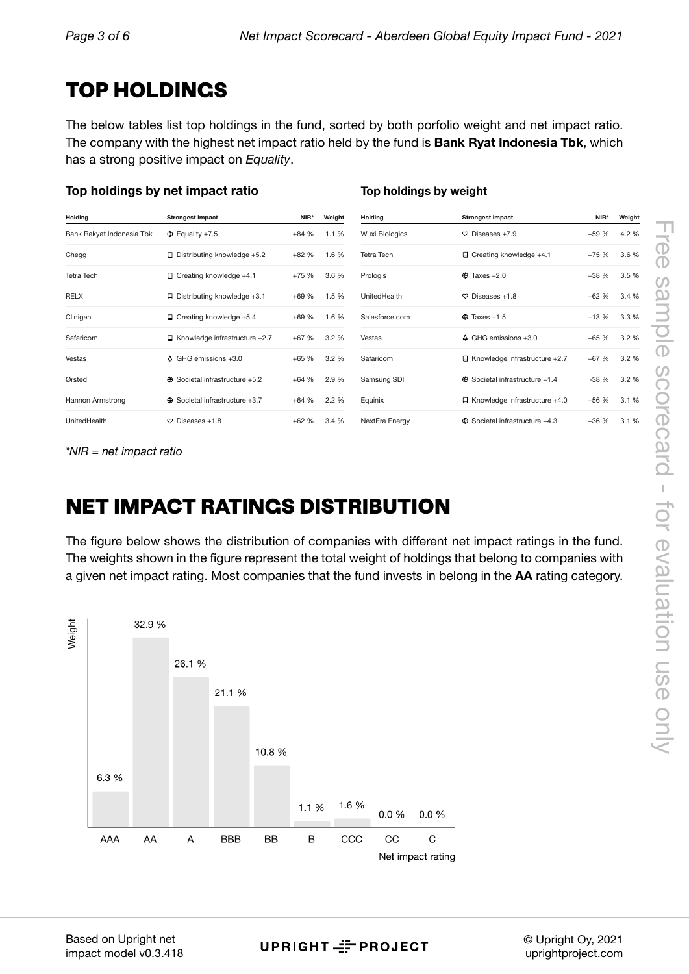# **TOP [HO](#page-5-0)LDINGS**

The below tables list top holdings in the fund, sorted by both porfolio weight and net impact ratio. The company with the highest net impact ratio held by the fund is **Bank Ryat Indonesia Tbk**, which has a strong positive impact on *Equality*.

### **Top holdings by net impact ratio**

### **Top holdings by weight**

| Holding                   | <b>Strongest impact</b>                  | NIR*   | Weight | Holding               | Strongest impact                      | NIR*   | Weight |
|---------------------------|------------------------------------------|--------|--------|-----------------------|---------------------------------------|--------|--------|
| Bank Rakyat Indonesia Tbk | $\oplus$ Equality +7.5                   | $+84%$ | 1.1%   | <b>Wuxi Biologics</b> | $\heartsuit$ Diseases +7.9            | $+59%$ | 4.2 %  |
| Chegg                     | $\Box$ Distributing knowledge +5.2       | $+82%$ | 1.6 %  | <b>Tetra Tech</b>     | $\Box$ Creating knowledge +4.1        | $+75%$ | 3.6 %  |
| <b>Tetra Tech</b>         | $\Box$ Creating knowledge +4.1           | $+75%$ | 3.6%   | Prologis              | $\oplus$ Taxes +2.0                   | $+38%$ | 3.5%   |
| <b>RELX</b>               | $\Box$ Distributing knowledge +3.1       | $+69%$ | 1.5%   | UnitedHealth          | $\heartsuit$ Diseases +1.8            | $+62%$ | 3.4 %  |
| Clinigen                  | $\Box$ Creating knowledge +5.4           | $+69%$ | 1.6 %  | Salesforce.com        | $\oplus$ Taxes +1.5                   | $+13%$ | 3.3%   |
| Safaricom                 | $\Box$ Knowledge infrastructure +2.7     | $+67%$ | 3.2%   | Vestas                | 4 GHG emissions +3.0                  | $+65%$ | 3.2%   |
| Vestas                    | $\triangle$ GHG emissions $+3.0$         | $+65%$ | 3.2%   | Safaricom             | $\Box$ Knowledge infrastructure +2.7  | $+67%$ | 3.2%   |
| Ørsted                    | $\oplus$ Societal infrastructure +5.2    | $+64%$ | 2.9 %  | Samsung SDI           | $\oplus$ Societal infrastructure +1.4 | $-38%$ | 3.2%   |
| Hannon Armstrong          | Societal infrastructure +3.7<br>$\oplus$ | $+64%$ | 2.2%   | Equinix               | $\Box$ Knowledge infrastructure +4.0  | $+56%$ | 3.1%   |
| UnitedHealth              | $\heartsuit$ Diseases +1.8               | $+62%$ | 3.4%   | NextEra Energy        | $\oplus$ Societal infrastructure +4.3 | $+36%$ | 3.1%   |

*\*NIR = net impact ratio*

# **NET IMPACT RATINGS DISTRIBUTION**

The figure below shows the distribution of companies with different net impact ratings in the fund. The weights shown in the figure represent the total weight of holdings that belong to companies with a given net impact rating. Most companies that the fund invests in belong in the **AA** rating category.



Based on Upright net impact model v0.3.418

UPRIGHT == PROJECT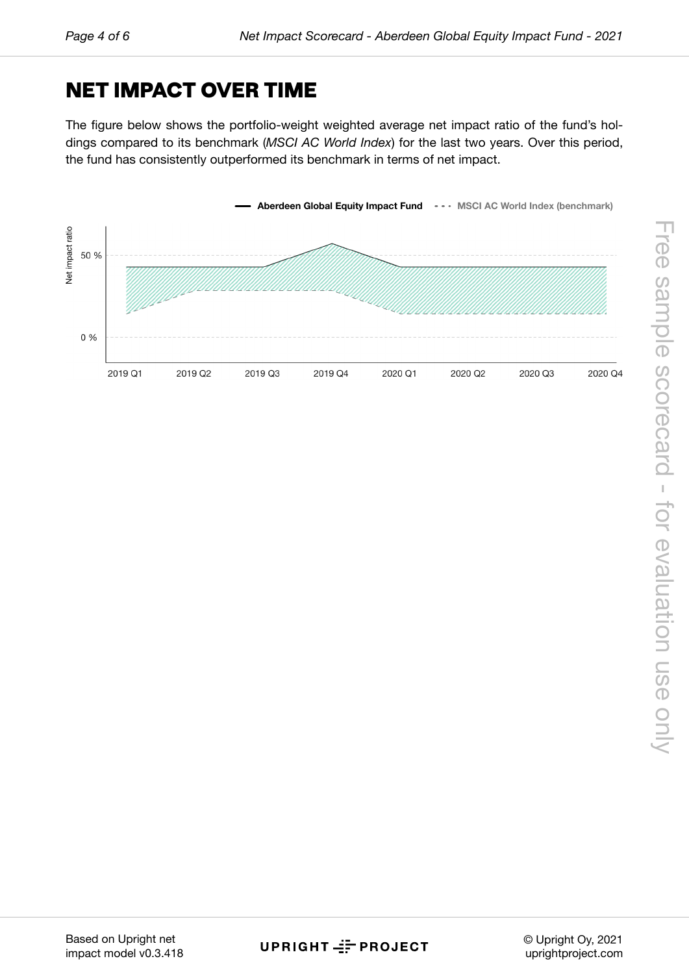# **NETI[M](#page-5-0)PACT OVER TIME**

The figure below shows the portfolio-weight weighted average net impact ratio of the fund's holdings compared to its benchmark (*MSCI AC World Index*) for the last two years. Over this period, the fund has consistently outperformed its benchmark in terms of net impact.

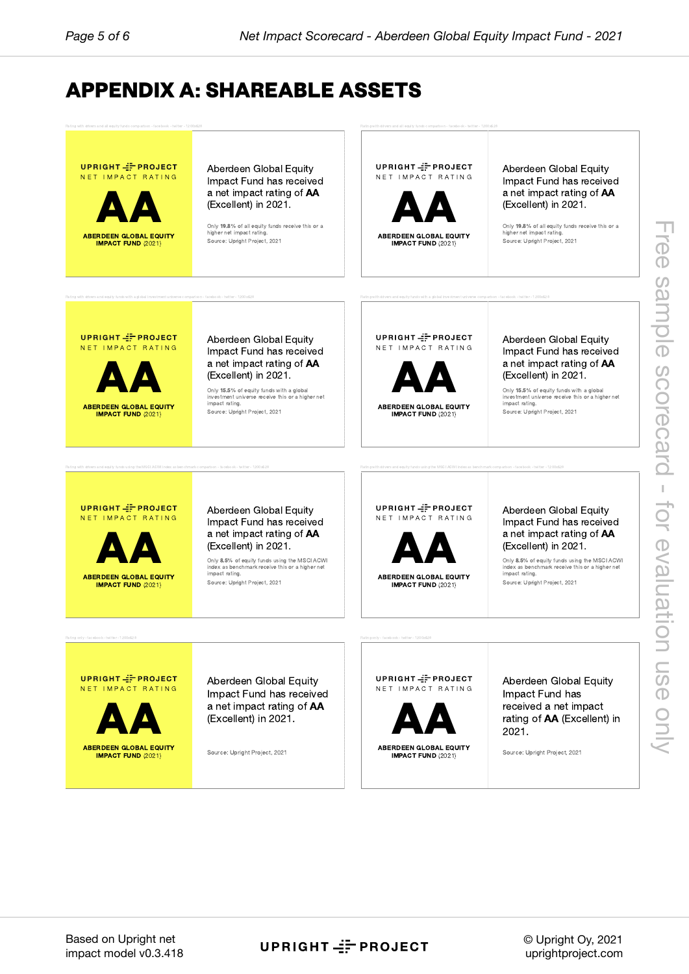# **APPE[N](#page-5-0)DIX A: SHAREABLE ASSETS**



Based on Upright net impact model v0.3.418

### UPRIGHT == PROJECT